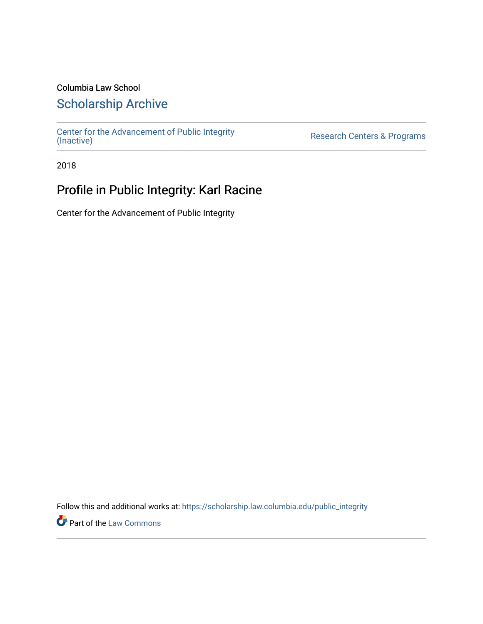#### Columbia Law School

### [Scholarship Archive](https://scholarship.law.columbia.edu/)

[Center for the Advancement of Public Integrity](https://scholarship.law.columbia.edu/public_integrity)<br>(Inactive)

Research Centers & Programs

2018

## Profile in Public Integrity: Karl Racine

Center for the Advancement of Public Integrity

Follow this and additional works at: [https://scholarship.law.columbia.edu/public\\_integrity](https://scholarship.law.columbia.edu/public_integrity?utm_source=scholarship.law.columbia.edu%2Fpublic_integrity%2F33&utm_medium=PDF&utm_campaign=PDFCoverPages)

**Part of the [Law Commons](http://network.bepress.com/hgg/discipline/578?utm_source=scholarship.law.columbia.edu%2Fpublic_integrity%2F33&utm_medium=PDF&utm_campaign=PDFCoverPages)**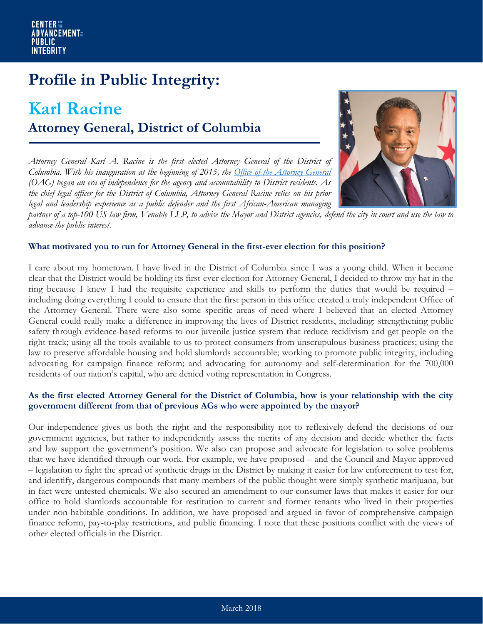# **Profile in Public Integrity:**

## **Karl Racine Attorney General, District of Columbia**

*Attorney General Karl A. Racine is the first elected Attorney General of the District of Columbia. With his inauguration at the beginning of 2015, the [Office of the Attorney General](https://oag.dc.gov/) (OAG) began an era of independence for the agency and accountability to District residents. As the chief legal officer for the District of Columbia, Attorney General Racine relies on his prior legal and leadership experience as a public defender and the first African-American managing* 



*partner of a top-100 US law firm, Venable LLP, to advise the Mayor and District agencies, defend the city in court and use the law to advance the public interest.*

#### **What motivated you to run for Attorney General in the first-ever election for this position?**

I care about my hometown. I have lived in the District of Columbia since I was a young child. When it became clear that the District would be holding its first-ever election for Attorney General, I decided to throw my hat in the ring because I knew I had the requisite experience and skills to perform the duties that would be required – including doing everything I could to ensure that the first person in this office created a truly independent Office of the Attorney General. There were also some specific areas of need where I believed that an elected Attorney General could really make a difference in improving the lives of District residents, including: strengthening public safety through evidence-based reforms to our juvenile justice system that reduce recidivism and get people on the right track; using all the tools available to us to protect consumers from unscrupulous business practices; using the law to preserve affordable housing and hold slumlords accountable; working to promote public integrity, including advocating for campaign finance reform; and advocating for autonomy and self-determination for the 700,000 residents of our nation's capital, who are denied voting representation in Congress.

#### **As the first elected Attorney General for the District of Columbia, how is your relationship with the city government different from that of previous AGs who were appointed by the mayor?**

Our independence gives us both the right and the responsibility not to reflexively defend the decisions of our government agencies, but rather to independently assess the merits of any decision and decide whether the facts and law support the government's position. We also can propose and advocate for legislation to solve problems that we have identified through our work. For example, we have proposed – and the Council and Mayor approved – legislation to fight the spread of synthetic drugs in the District by making it easier for law enforcement to test for, and identify, dangerous compounds that many members of the public thought were simply synthetic marijuana, but in fact were untested chemicals. We also secured an amendment to our consumer laws that makes it easier for our office to hold slumlords accountable for restitution to current and former tenants who lived in their properties under non-habitable conditions. In addition, we have proposed and argued in favor of comprehensive campaign finance reform, pay-to-play restrictions, and public financing. I note that these positions conflict with the views of other elected officials in the District.